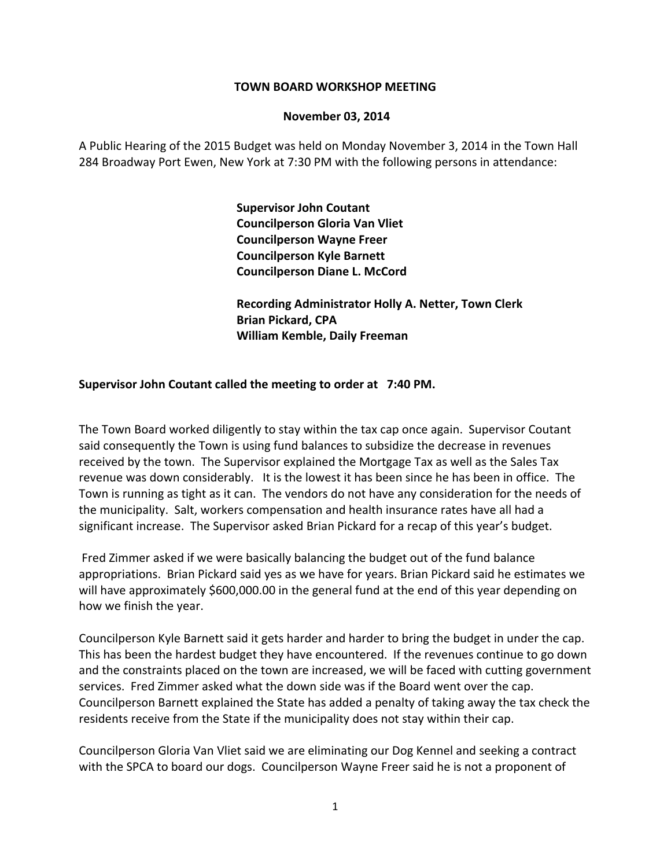#### **TOWN BOARD WORKSHOP MEETING**

#### **November 03, 2014**

A Public Hearing of the 2015 Budget was held on Monday November 3, 2014 in the Town Hall 284 Broadway Port Ewen, New York at 7:30 PM with the following persons in attendance:

> **Supervisor John Coutant Councilperson Gloria Van Vliet Councilperson Wayne Freer Councilperson Kyle Barnett Councilperson Diane L. McCord**

 **Recording Administrator Holly A. Netter, Town Clerk Brian Pickard, CPA William Kemble, Daily Freeman**

#### **Supervisor John Coutant called the meeting to order at 7:40 PM.**

The Town Board worked diligently to stay within the tax cap once again. Supervisor Coutant said consequently the Town is using fund balances to subsidize the decrease in revenues received by the town. The Supervisor explained the Mortgage Tax as well as the Sales Tax revenue was down considerably. It is the lowest it has been since he has been in office. The Town is running as tight as it can. The vendors do not have any consideration for the needs of the municipality. Salt, workers compensation and health insurance rates have all had a significant increase. The Supervisor asked Brian Pickard for a recap of this year's budget.

Fred Zimmer asked if we were basically balancing the budget out of the fund balance appropriations. Brian Pickard said yes as we have for years. Brian Pickard said he estimates we will have approximately \$600,000.00 in the general fund at the end of this year depending on how we finish the year.

Councilperson Kyle Barnett said it gets harder and harder to bring the budget in under the cap. This has been the hardest budget they have encountered. If the revenues continue to go down and the constraints placed on the town are increased, we will be faced with cutting government services. Fred Zimmer asked what the down side was if the Board went over the cap. Councilperson Barnett explained the State has added a penalty of taking away the tax check the residents receive from the State if the municipality does not stay within their cap.

Councilperson Gloria Van Vliet said we are eliminating our Dog Kennel and seeking a contract with the SPCA to board our dogs. Councilperson Wayne Freer said he is not a proponent of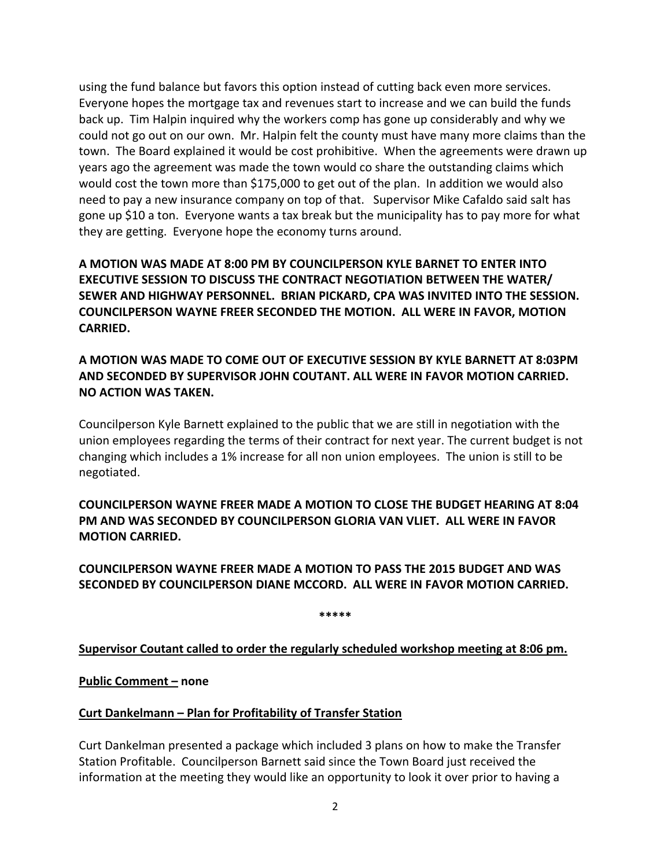using the fund balance but favors this option instead of cutting back even more services. Everyone hopes the mortgage tax and revenues start to increase and we can build the funds back up. Tim Halpin inquired why the workers comp has gone up considerably and why we could not go out on our own. Mr. Halpin felt the county must have many more claims than the town. The Board explained it would be cost prohibitive. When the agreements were drawn up years ago the agreement was made the town would co share the outstanding claims which would cost the town more than \$175,000 to get out of the plan. In addition we would also need to pay a new insurance company on top of that. Supervisor Mike Cafaldo said salt has gone up \$10 a ton. Everyone wants a tax break but the municipality has to pay more for what they are getting. Everyone hope the economy turns around.

**A MOTION WAS MADE AT 8:00 PM BY COUNCILPERSON KYLE BARNET TO ENTER INTO EXECUTIVE SESSION TO DISCUSS THE CONTRACT NEGOTIATION BETWEEN THE WATER/ SEWER AND HIGHWAY PERSONNEL. BRIAN PICKARD, CPA WAS INVITED INTO THE SESSION. COUNCILPERSON WAYNE FREER SECONDED THE MOTION. ALL WERE IN FAVOR, MOTION CARRIED.** 

**A MOTION WAS MADE TO COME OUT OF EXECUTIVE SESSION BY KYLE BARNETT AT 8:03PM AND SECONDED BY SUPERVISOR JOHN COUTANT. ALL WERE IN FAVOR MOTION CARRIED. NO ACTION WAS TAKEN.**

Councilperson Kyle Barnett explained to the public that we are still in negotiation with the union employees regarding the terms of their contract for next year. The current budget is not changing which includes a 1% increase for all non union employees. The union is still to be negotiated.

**COUNCILPERSON WAYNE FREER MADE A MOTION TO CLOSE THE BUDGET HEARING AT 8:04 PM AND WAS SECONDED BY COUNCILPERSON GLORIA VAN VLIET. ALL WERE IN FAVOR MOTION CARRIED.**

# **COUNCILPERSON WAYNE FREER MADE A MOTION TO PASS THE 2015 BUDGET AND WAS SECONDED BY COUNCILPERSON DIANE MCCORD. ALL WERE IN FAVOR MOTION CARRIED.**

**\*\*\*\*\***

**Supervisor Coutant called to order the regularly scheduled workshop meeting at 8:06 pm.**

**Public Comment – none**

## **Curt Dankelmann – Plan for Profitability of Transfer Station**

Curt Dankelman presented a package which included 3 plans on how to make the Transfer Station Profitable. Councilperson Barnett said since the Town Board just received the information at the meeting they would like an opportunity to look it over prior to having a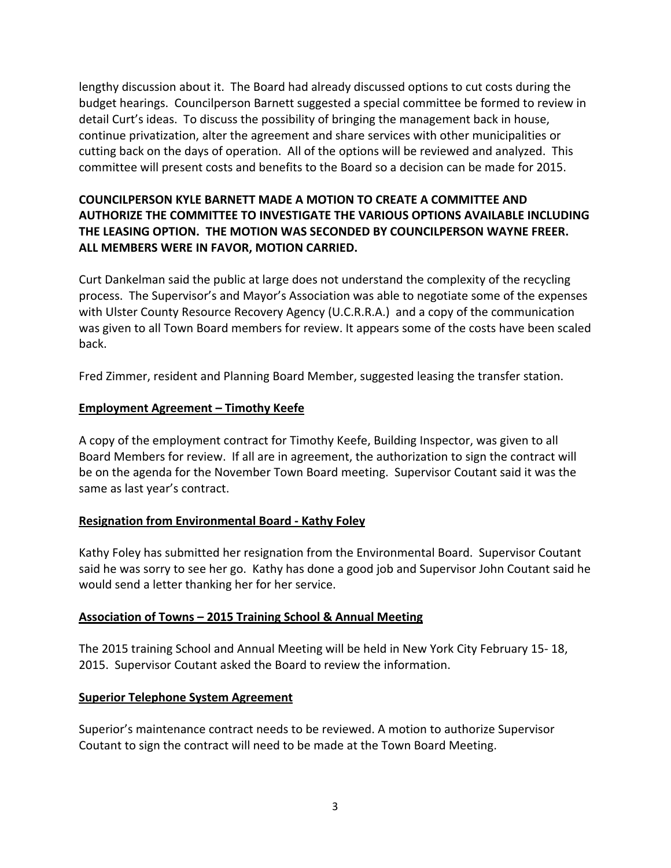lengthy discussion about it. The Board had already discussed options to cut costs during the budget hearings. Councilperson Barnett suggested a special committee be formed to review in detail Curt's ideas. To discuss the possibility of bringing the management back in house, continue privatization, alter the agreement and share services with other municipalities or cutting back on the days of operation. All of the options will be reviewed and analyzed. This committee will present costs and benefits to the Board so a decision can be made for 2015.

# **COUNCILPERSON KYLE BARNETT MADE A MOTION TO CREATE A COMMITTEE AND AUTHORIZE THE COMMITTEE TO INVESTIGATE THE VARIOUS OPTIONS AVAILABLE INCLUDING THE LEASING OPTION. THE MOTION WAS SECONDED BY COUNCILPERSON WAYNE FREER. ALL MEMBERS WERE IN FAVOR, MOTION CARRIED.**

Curt Dankelman said the public at large does not understand the complexity of the recycling process. The Supervisor's and Mayor's Association was able to negotiate some of the expenses with Ulster County Resource Recovery Agency (U.C.R.R.A.) and a copy of the communication was given to all Town Board members for review. It appears some of the costs have been scaled back.

Fred Zimmer, resident and Planning Board Member, suggested leasing the transfer station.

### **Employment Agreement – Timothy Keefe**

A copy of the employment contract for Timothy Keefe, Building Inspector, was given to all Board Members for review. If all are in agreement, the authorization to sign the contract will be on the agenda for the November Town Board meeting. Supervisor Coutant said it was the same as last year's contract.

## **Resignation from Environmental Board ‐ Kathy Foley**

Kathy Foley has submitted her resignation from the Environmental Board. Supervisor Coutant said he was sorry to see her go. Kathy has done a good job and Supervisor John Coutant said he would send a letter thanking her for her service.

#### **Association of Towns – 2015 Training School & Annual Meeting**

The 2015 training School and Annual Meeting will be held in New York City February 15‐ 18, 2015. Supervisor Coutant asked the Board to review the information.

#### **Superior Telephone System Agreement**

Superior's maintenance contract needs to be reviewed. A motion to authorize Supervisor Coutant to sign the contract will need to be made at the Town Board Meeting.